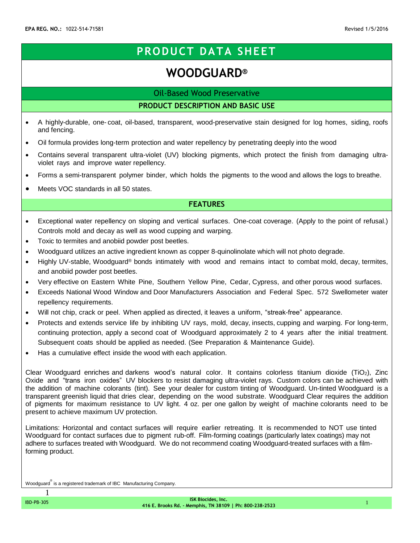# **PRODUCT DATA SHEET**

# **WOODGUARD®**

Oil-Based Wood Preservative

**PRODUCT DESCRIPTION AND BASIC USE**

- A highly-durable, one- coat, oil-based, transparent, wood-preservative stain designed for log homes, siding, roofs and fencing.
- Oil formula provides long-term protection and water repellency by penetrating deeply into the wood
- Contains several transparent ultra-violet (UV) blocking pigments, which protect the finish from damaging ultraviolet rays and improve water repellency.
- Forms a semi-transparent polymer binder, which holds the pigments to the wood and allows the logs to breathe.
- Meets VOC standards in all 50 states.

# **FEATURES**

- Exceptional water repellency on sloping and vertical surfaces. One-coat coverage. (Apply to the point of refusal.) Controls mold and decay as well as wood cupping and warping.
- Toxic to termites and anobiid powder post beetles.
- Woodguard utilizes an active ingredient known as copper 8-quinolinolate which will not photo degrade.
- Highly UV-stable, Woodguard<sup>®</sup> bonds intimately with wood and remains intact to combat mold, decay, termites, and anobiid powder post beetles.
- Very effective on Eastern White Pine, Southern Yellow Pine, Cedar, Cypress, and other porous wood surfaces.
- Exceeds National Wood Window and Door Manufacturers Association and Federal Spec. 572 Swellometer water repellency requirements.
- Will not chip, crack or peel. When applied as directed, it leaves a uniform, "streak-free" appearance.
- Protects and extends service life by inhibiting UV rays, mold, decay, insects, cupping and warping. For long-term, continuing protection, apply a second coat of Woodguard approximately 2 to 4 years after the initial treatment. Subsequent coats should be applied as needed. (See Preparation & Maintenance Guide).
- Has a cumulative effect inside the wood with each application.

Clear Woodguard enriches and darkens wood's natural color. It contains colorless titanium dioxide (TiO2), Zinc Oxide and "trans iron oxides" UV blockers to resist damaging ultra-violet rays. Custom colors can be achieved with the addition of machine colorants (tint). See your dealer for custom tinting of Woodguard. Un-tinted Woodguard is a transparent greenish liquid that dries clear, depending on the wood substrate. Woodguard Clear requires the addition of pigments for maximum resistance to UV light. 4 oz. per one gallon by weight of machine colorants need to be present to achieve maximum UV protection.

Limitations: Horizontal and contact surfaces will require earlier retreating. It is recommended to NOT use tinted Woodguard for contact surfaces due to pigment rub-off. Film-forming coatings (particularly latex coatings) may not adhere to surfaces treated with Woodguard. We do not recommend coating Woodguard-treated surfaces with a filmforming product.

Woodguard is a registered trademark of IBC Manufacturing Company.

1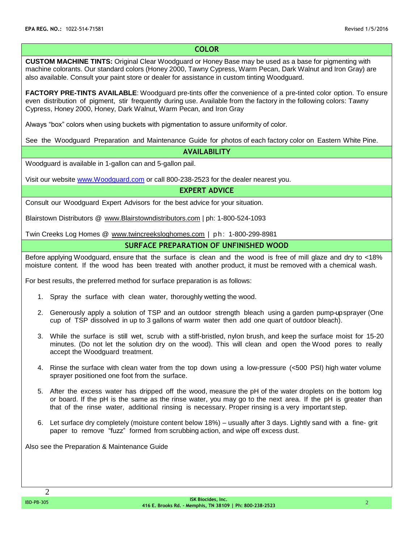# **COLOR**

**CUSTOM MACHINE TINTS:** Original Clear Woodguard or Honey Base may be used as a base for pigmenting with machine colorants. Our standard colors (Honey 2000, Tawny Cypress, Warm Pecan, Dark Walnut and Iron Gray) are also available. Consult your paint store or dealer for assistance in custom tinting Woodguard.

**FACTORY PRE-TINTS AVAILABLE**: Woodguard pre-tints offer the convenience of a pre-tinted color option. To ensure even distribution of pigment, stir frequently during use. Available from the factory in the following colors: Tawny Cypress, Honey 2000, Honey, Dark Walnut, Warm Pecan, and Iron Gray

Always "box" colors when using buckets with pigmentation to assure uniformity of color.

See the Woodguard Preparation and Maintenance Guide for photos of each factory color on Eastern White Pine.

**AVAILABILITY**

Woodguard is available in 1-gallon can and 5-gallon pail.

Visit our website [www.Woodguard.com](http://www.woodguard.com/) or call 800-238-2523 for the dealer nearest you.

**EXPERT ADVICE**

Consult our Woodguard Expert Advisors for the best advice for your situation.

Blairstown Distributors @ [www.Blairstowndistributors.com](http://www.blairstowndistributors.com/) | ph: 1-800-524-1093

Twin Creeks Log Homes @ [www.twincreeksloghomes.com](http://www.twincreeksloghomes.com/) | ph: 1-800-299-8981

## **SURFACE PREPARATION OF UNFINISHED WOOD**

Before applying Woodguard, ensure that the surface is clean and the wood is free of mill glaze and dry to <18% moisture content. If the wood has been treated with another product, it must be removed with a chemical wash.

For best results, the preferred method for surface preparation is as follows:

- 1. Spray the surface with clean water, thoroughly wetting the wood.
- 2. Generously apply a solution of TSP and an outdoor strength bleach using a garden pump-up sprayer (One cup of TSP dissolved in up to 3 gallons of warm water then add one quart of outdoor bleach).
- 3. While the surface is still wet, scrub with a stiff-bristled, nylon brush, and keep the surface moist for 15-20 minutes. (Do not let the solution dry on the wood). This will clean and open the Wood pores to really accept the Woodguard treatment.
- 4. Rinse the surface with clean water from the top down using a low-pressure (<500 PSI) high water volume sprayer positioned one foot from the surface.
- 5. After the excess water has dripped off the wood, measure the pH of the water droplets on the bottom log or board. If the pH is the same as the rinse water, you may go to the next area. If the pH is greater than that of the rinse water, additional rinsing is necessary. Proper rinsing is a very important step.
- 6. Let surface dry completely (moisture content below 18%) usually after 3 days. Lightly sand with a fine- grit paper to remove "fuzz" formed from scrubbing action, and wipe off excess dust.

Also see the Preparation & Maintenance Guide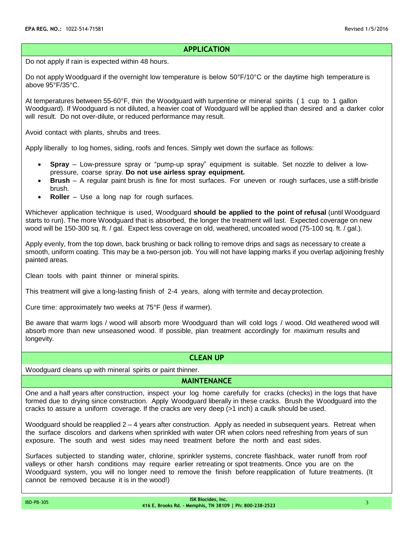## **APPLICATION**

Do not apply if rain is expected within 48 hours.

Do not apply Woodguard if the overnight low temperature is below 50°F/10°C or the daytime high temperature is above 95°F/35°C.

At temperatures between 55-60°F, thin the Woodguard with turpentine or mineral spirits ( 1 cup to 1 gallon Woodguard). If Woodguard is not diluted, a heavier coat of Woodguard will be applied than desired and a darker color will result. Do not over-dilute, or reduced performance may result.

Avoid contact with plants, shrubs and trees.

Apply liberally to log homes, siding, roofs and fences. Simply wet down the surface as follows:

- **Spray** Low-pressure spray or "pump-up spray" equipment is suitable. Set nozzle to deliver a lowpressure, coarse spray. **Do not use airless spray equipment.**
- **Brush** A regular paint brush is fine for most surfaces. For uneven or rough surfaces, use a stiff-bristle brush.
- **Roller** Use a long nap for rough surfaces.

Whichever application technique is used, Woodguard **should be applied to the point of refusal** (until Woodguard starts to run). The more Woodguard that is absorbed, the longer the treatment will last. Expected coverage on new wood will be 150-300 sq. ft. / gal. Expect less coverage on old, weathered, uncoated wood (75-100 sq. ft. / gal.).

Apply evenly, from the top down, back brushing or back rolling to remove drips and sags as necessary to create a smooth, uniform coating. This may be a two-person job. You will not have lapping marks if you overlap adjoining freshly painted areas.

Clean tools with paint thinner or mineral spirits.

This treatment will give a long-lasting finish of 2-4 years, along with termite and decay protection.

Cure time: approximately two weeks at 75°F (less if warmer).

Be aware that warm logs / wood will absorb more Woodguard than will cold logs / wood. Old weathered wood will absorb more than new unseasoned wood. If possible, plan treatment accordingly for maximum results and longevity.

## **CLEAN UP**

Woodguard cleans up with mineral spirits or paint thinner.

### **MAINTENANCE**

One and a half years after construction, inspect your log home carefully for cracks (checks) in the logs that have formed due to drying since construction. Apply Woodguard liberally in these cracks. Brush the Woodguard into the cracks to assure a uniform coverage. If the cracks are very deep (>1 inch) a caulk should be used.

Woodguard should be reapplied 2 – 4 years after construction. Apply as needed in subsequent years. Retreat when the surface discolors and darkens when sprinkled with water OR when colors need refreshing from years of sun exposure. The south and west sides may need treatment before the north and east sides.

Surfaces subjected to standing water, chlorine, sprinkler systems, concrete flashback, water runoff from roof valleys or other harsh conditions may require earlier retreating or spot treatments. Once you are on the Woodguard system, you will no longer need to remove the finish before reapplication of future treatments. (It cannot be removed because it is in the wood!)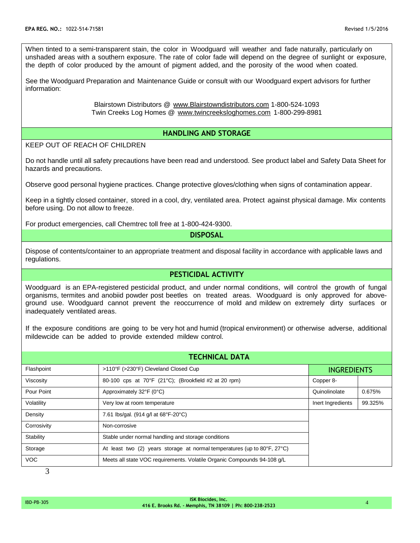When tinted to a semi-transparent stain, the color in Woodguard will weather and fade naturally, particularly on unshaded areas with a southern exposure. The rate of color fade will depend on the degree of sunlight or exposure, the depth of color produced by the amount of pigment added, and the porosity of the wood when coated.

See the Woodguard Preparation and Maintenance Guide or consult with our Woodguard expert advisors for further information:

> Blairstown Distributors @ [www.Blairstowndistributors.com](http://www.blairstowndistributors.com/) 1-800-524-1093 Twin Creeks Log Homes @ [www.twincreeksloghomes.com](http://www.twincreeksloghomes.com/) 1-800-299-8981

## **HANDLING AND STORAGE**

#### KEEP OUT OF REACH OF CHILDREN

Do not handle until all safety precautions have been read and understood. See product label and Safety Data Sheet for hazards and precautions.

Observe good personal hygiene practices. Change protective gloves/clothing when signs of contamination appear.

Keep in a tightly closed container, stored in a cool, dry, ventilated area. Protect against physical damage. Mix contents before using. Do not allow to freeze.

For product emergencies, call Chemtrec toll free at 1-800-424-9300.

## **DISPOSAL**

Dispose of contents/container to an appropriate treatment and disposal facility in accordance with applicable laws and regulations.

## **PESTICIDAL ACTIVITY**

Woodguard is an EPA-registered pesticidal product, and under normal conditions, will control the growth of fungal organisms, termites and anobiid powder post beetles on treated areas. Woodguard is only approved for aboveground use. Woodguard cannot prevent the reoccurrence of mold and mildew on extremely dirty surfaces or inadequately ventilated areas.

If the exposure conditions are going to be very hot and humid (tropical environment) or otherwise adverse, additional mildewcide can be added to provide extended mildew control.

| <b>TECHNICAL DATA</b> |                                                                                              |                    |         |
|-----------------------|----------------------------------------------------------------------------------------------|--------------------|---------|
| Flashpoint            | >110°F (>230°F) Cleveland Closed Cup                                                         | <b>INGREDIENTS</b> |         |
| Viscosity             | 80-100 cps at 70°F (21°C); (Brookfield #2 at 20 rpm)                                         | Copper 8-          |         |
| Pour Point            | Approximately 32°F (0°C)                                                                     | Quinolinolate      | 0.675%  |
| Volatility            | Very low at room temperature                                                                 | Inert Ingredients  | 99.325% |
| Density               | 7.61 lbs/gal. (914 g/l at 68°F-20°C)                                                         |                    |         |
| Corrosivity           | Non-corrosive                                                                                |                    |         |
| Stability             | Stable under normal handling and storage conditions                                          |                    |         |
| Storage               | At least two (2) years storage at normal temperatures (up to $80^{\circ}$ F, $27^{\circ}$ C) |                    |         |
| <b>VOC</b>            | Meets all state VOC requirements. Volatile Organic Compounds 94-108 q/L                      |                    |         |

3